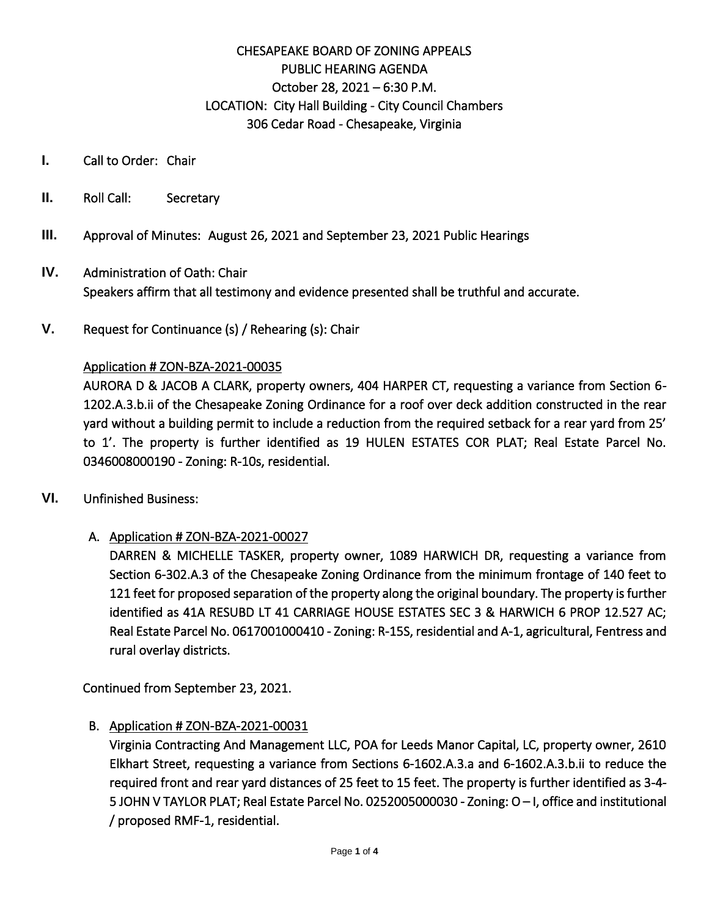# CHESAPEAKE BOARD OF ZONING APPEALS PUBLIC HEARING AGENDA October 28, 2021 – 6:30 P.M. LOCATION: City Hall Building - City Council Chambers 306 Cedar Road - Chesapeake, Virginia

- **I.** Call to Order: Chair
- **II.** Roll Call: Secretary
- **III.** Approval of Minutes: August 26, 2021 and September 23, 2021 Public Hearings
- **IV.** Administration of Oath: Chair Speakers affirm that all testimony and evidence presented shall be truthful and accurate.
- **V.** Request for Continuance (s) / Rehearing (s): Chair

#### Application # ZON-BZA-2021-00035

AURORA D & JACOB A CLARK, property owners, 404 HARPER CT, requesting a variance from Section 6- 1202.A.3.b.ii of the Chesapeake Zoning Ordinance for a roof over deck addition constructed in the rear yard without a building permit to include a reduction from the required setback for a rear yard from 25' to 1'. The property is further identified as 19 HULEN ESTATES COR PLAT; Real Estate Parcel No. 0346008000190 - Zoning: R-10s, residential.

**VI.** Unfinished Business:

#### A. Application # ZON-BZA-2021-00027

DARREN & MICHELLE TASKER, property owner, 1089 HARWICH DR, requesting a variance from Section 6-302.A.3 of the Chesapeake Zoning Ordinance from the minimum frontage of 140 feet to 121 feet for proposed separation of the property along the original boundary. The property is further identified as 41A RESUBD LT 41 CARRIAGE HOUSE ESTATES SEC 3 & HARWICH 6 PROP 12.527 AC; Real Estate Parcel No. 0617001000410 - Zoning: R-15S, residential and A-1, agricultural, Fentress and rural overlay districts.

Continued from September 23, 2021.

B. Application # ZON-BZA-2021-00031

Virginia Contracting And Management LLC, POA for Leeds Manor Capital, LC, property owner, 2610 Elkhart Street, requesting a variance from Sections 6-1602.A.3.a and 6-1602.A.3.b.ii to reduce the required front and rear yard distances of 25 feet to 15 feet. The property is further identified as 3-4- 5 JOHN V TAYLOR PLAT; Real Estate Parcel No. 0252005000030 - Zoning: O – I, office and institutional / proposed RMF-1, residential.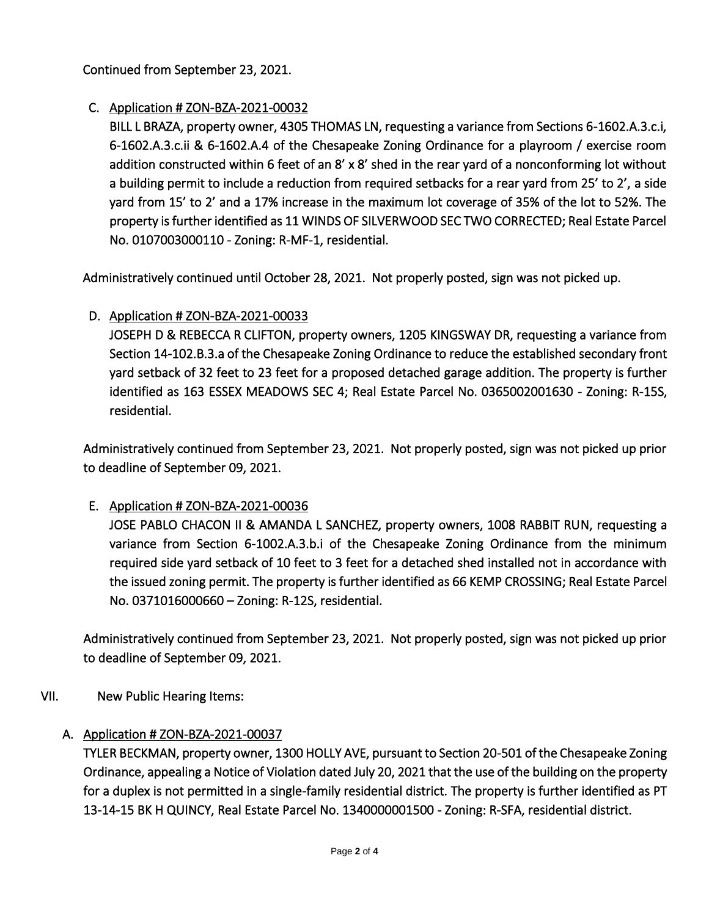Continued from September 23, 2021.

## C. Application # ZON-BZA-2021-00032

BILL L BRAZA, property owner, 4305 THOMAS LN, requesting a variance from Sections 6-1602.A.3.c.i, 6-1602.A.3.c.ii & 6-1602.A.4 of the Chesapeake Zoning Ordinance for a playroom / exercise room addition constructed within 6 feet of an 8' x 8' shed in the rear yard of a nonconforming lot without a building permit to include a reduction from required setbacks for a rear yard from 25' to 2', a side yard from 15' to 2' and a 17% increase in the maximum lot coverage of 35% of the lot to 52%. The property is further identified as 11 WINDS OF SILVERWOOD SEC TWO CORRECTED; Real Estate Parcel No. 0107003000110 - Zoning: R-MF-1, residential.

Administratively continued until October 28, 2021. Not properly posted, sign was not picked up.

# D. Application # ZON-BZA-2021-00033

JOSEPH D & REBECCA R CLIFTON, property owners, 1205 KINGSWAY DR, requesting a variance from Section 14-102.B.3.a of the Chesapeake Zoning Ordinance to reduce the established secondary front yard setback of 32 feet to 23 feet for a proposed detached garage addition. The property is further identified as 163 ESSEX MEADOWS SEC 4; Real Estate Parcel No. 0365002001630 - Zoning: R-15S, residential.

Administratively continued from September 23, 2021. Not properly posted, sign was not picked up prior to deadline of September 09, 2021.

### E. Application # ZON-BZA-2021-00036

JOSE PABLO CHACON II & AMANDA L SANCHEZ, property owners, 1008 RABBIT RUN, requesting a variance from Section 6-1002.A.3.b.i of the Chesapeake Zoning Ordinance from the minimum required side yard setback of 10 feet to 3 feet for a detached shed installed not in accordance with the issued zoning permit. The property is further identified as 66 KEMP CROSSING; Real Estate Parcel No. 0371016000660 – Zoning: R-12S, residential.

Administratively continued from September 23, 2021. Not properly posted, sign was not picked up prior to deadline of September 09, 2021.

VII. New Public Hearing Items:

### A. Application # ZON-BZA-2021-00037

TYLER BECKMAN, property owner, 1300 HOLLY AVE, pursuant to Section 20-501 of the Chesapeake Zoning Ordinance, appealing a Notice of Violation dated July 20, 2021 that the use of the building on the property for a duplex is not permitted in a single-family residential district. The property is further identified as PT 13-14-15 BK H QUINCY, Real Estate Parcel No. 1340000001500 - Zoning: R-SFA, residential district.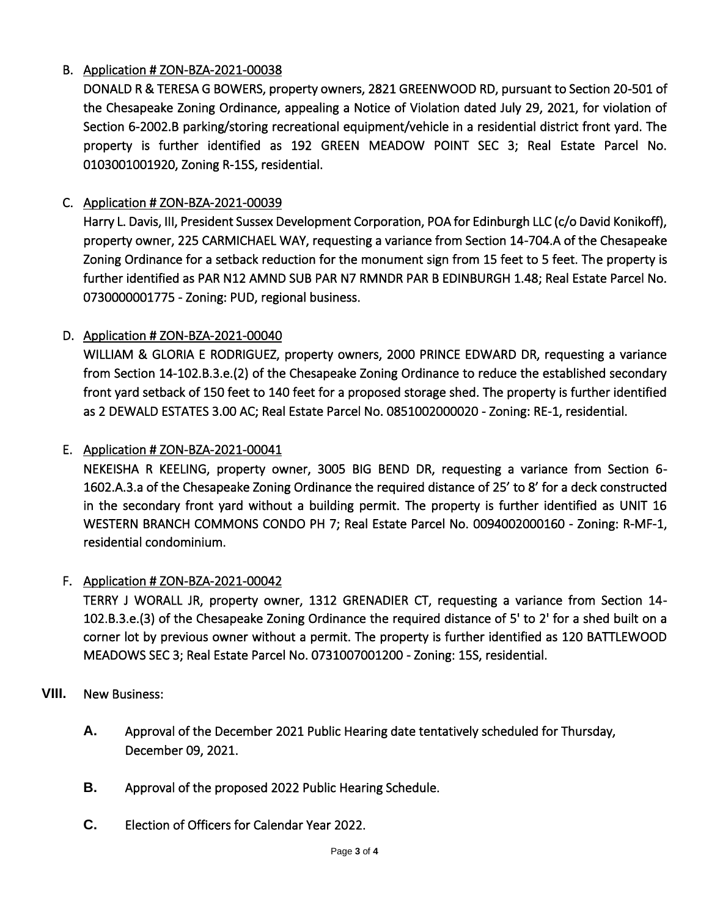## B. Application # ZON-BZA-2021-00038

DONALD R & TERESA G BOWERS, property owners, 2821 GREENWOOD RD, pursuant to Section 20-501 of the Chesapeake Zoning Ordinance, appealing a Notice of Violation dated July 29, 2021, for violation of Section 6-2002.B parking/storing recreational equipment/vehicle in a residential district front yard. The property is further identified as 192 GREEN MEADOW POINT SEC 3; Real Estate Parcel No. 0103001001920, Zoning R-15S, residential.

## C. Application # ZON-BZA-2021-00039

Harry L. Davis, III, President Sussex Development Corporation, POA for Edinburgh LLC (c/o David Konikoff), property owner, 225 CARMICHAEL WAY, requesting a variance from Section 14-704.A of the Chesapeake Zoning Ordinance for a setback reduction for the monument sign from 15 feet to 5 feet. The property is further identified as PAR N12 AMND SUB PAR N7 RMNDR PAR B EDINBURGH 1.48; Real Estate Parcel No. 0730000001775 - Zoning: PUD, regional business.

## D. Application # ZON-BZA-2021-00040

WILLIAM & GLORIA E RODRIGUEZ, property owners, 2000 PRINCE EDWARD DR, requesting a variance from Section 14-102.B.3.e.(2) of the Chesapeake Zoning Ordinance to reduce the established secondary front yard setback of 150 feet to 140 feet for a proposed storage shed. The property is further identified as 2 DEWALD ESTATES 3.00 AC; Real Estate Parcel No. 0851002000020 - Zoning: RE-1, residential.

### E. Application # ZON-BZA-2021-00041

NEKEISHA R KEELING, property owner, 3005 BIG BEND DR, requesting a variance from Section 6- 1602.A.3.a of the Chesapeake Zoning Ordinance the required distance of 25' to 8' for a deck constructed in the secondary front yard without a building permit. The property is further identified as UNIT 16 WESTERN BRANCH COMMONS CONDO PH 7; Real Estate Parcel No. 0094002000160 - Zoning: R-MF-1, residential condominium.

### F. Application # ZON-BZA-2021-00042

TERRY J WORALL JR, property owner, 1312 GRENADIER CT, requesting a variance from Section 14- 102.B.3.e.(3) of the Chesapeake Zoning Ordinance the required distance of 5' to 2' for a shed built on a corner lot by previous owner without a permit. The property is further identified as 120 BATTLEWOOD MEADOWS SEC 3; Real Estate Parcel No. 0731007001200 - Zoning: 15S, residential.

### **VIII.** New Business:

- **A.** Approval of the December 2021 Public Hearing date tentatively scheduled for Thursday, December 09, 2021.
- **B.** Approval of the proposed 2022 Public Hearing Schedule.
- **C.** Election of Officers for Calendar Year 2022.